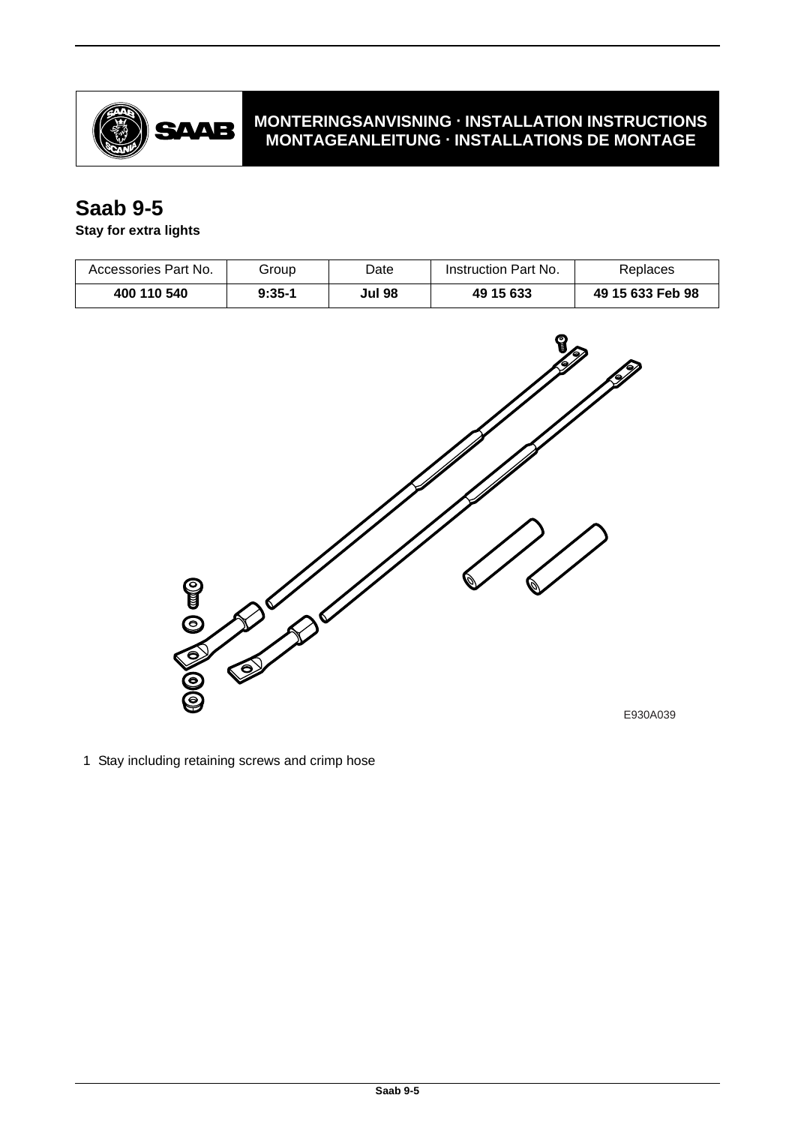

## **MONTERINGSANVISNING · INSTALLATION INSTRUCTIONS MONTAGEANLEITUNG · INSTALLATIONS DE MONTAGE**

## **Saab 9-5**

**Stay for extra lights**

| Accessories Part No. | Group    | Date          | Instruction Part No. | Replaces         |
|----------------------|----------|---------------|----------------------|------------------|
| 400 110 540          | $9:35-1$ | <b>Jul 98</b> | 49 15 633            | 49 15 633 Feb 98 |



1 Stay including retaining screws and crimp hose